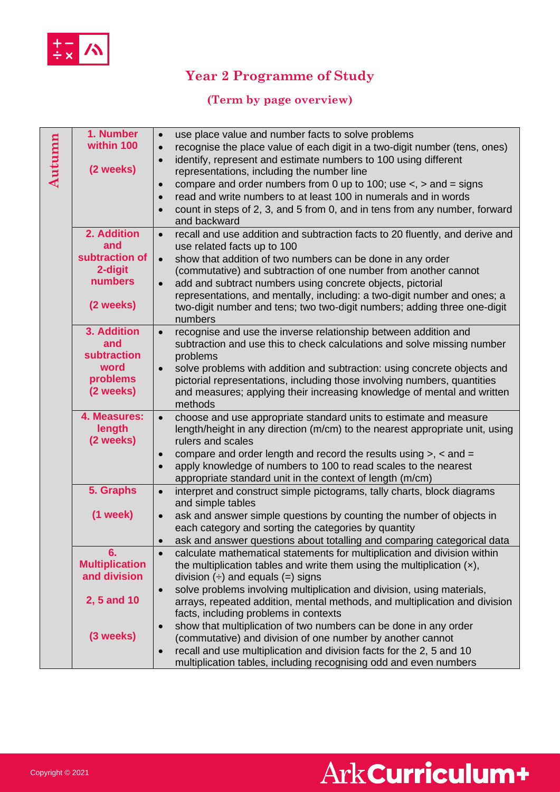

## **Year 2 Programme of Study**

### **(Term by page overview)**

| Autumn | 1. Number<br>within 100<br>(2 weeks) | use place value and number facts to solve problems<br>$\bullet$<br>recognise the place value of each digit in a two-digit number (tens, ones)<br>$\bullet$<br>identify, represent and estimate numbers to 100 using different<br>$\bullet$<br>representations, including the number line<br>compare and order numbers from 0 up to 100; use $\lt$ , $>$ and = signs<br>$\bullet$<br>read and write numbers to at least 100 in numerals and in words<br>$\bullet$<br>count in steps of 2, 3, and 5 from 0, and in tens from any number, forward<br>$\bullet$<br>and backward |
|--------|--------------------------------------|-----------------------------------------------------------------------------------------------------------------------------------------------------------------------------------------------------------------------------------------------------------------------------------------------------------------------------------------------------------------------------------------------------------------------------------------------------------------------------------------------------------------------------------------------------------------------------|
|        | 2. Addition                          | recall and use addition and subtraction facts to 20 fluently, and derive and<br>$\bullet$                                                                                                                                                                                                                                                                                                                                                                                                                                                                                   |
|        | and<br>subtraction of                | use related facts up to 100<br>show that addition of two numbers can be done in any order<br>$\bullet$                                                                                                                                                                                                                                                                                                                                                                                                                                                                      |
|        | 2-digit                              | (commutative) and subtraction of one number from another cannot                                                                                                                                                                                                                                                                                                                                                                                                                                                                                                             |
|        | numbers                              | add and subtract numbers using concrete objects, pictorial<br>$\bullet$                                                                                                                                                                                                                                                                                                                                                                                                                                                                                                     |
|        | (2 weeks)                            | representations, and mentally, including: a two-digit number and ones; a<br>two-digit number and tens; two two-digit numbers; adding three one-digit<br>numbers                                                                                                                                                                                                                                                                                                                                                                                                             |
|        | 3. Addition                          | recognise and use the inverse relationship between addition and<br>$\bullet$                                                                                                                                                                                                                                                                                                                                                                                                                                                                                                |
|        | and                                  | subtraction and use this to check calculations and solve missing number                                                                                                                                                                                                                                                                                                                                                                                                                                                                                                     |
|        | subtraction<br>word                  | problems                                                                                                                                                                                                                                                                                                                                                                                                                                                                                                                                                                    |
|        | problems                             | solve problems with addition and subtraction: using concrete objects and<br>$\bullet$<br>pictorial representations, including those involving numbers, quantities                                                                                                                                                                                                                                                                                                                                                                                                           |
|        | (2 weeks)                            | and measures; applying their increasing knowledge of mental and written<br>methods                                                                                                                                                                                                                                                                                                                                                                                                                                                                                          |
|        | 4. Measures:<br>length<br>(2 weeks)  | choose and use appropriate standard units to estimate and measure<br>$\bullet$<br>length/height in any direction (m/cm) to the nearest appropriate unit, using<br>rulers and scales                                                                                                                                                                                                                                                                                                                                                                                         |
|        |                                      | compare and order length and record the results using $>$ , $\lt$ and $=$<br>$\bullet$                                                                                                                                                                                                                                                                                                                                                                                                                                                                                      |
|        |                                      | apply knowledge of numbers to 100 to read scales to the nearest<br>$\bullet$                                                                                                                                                                                                                                                                                                                                                                                                                                                                                                |
|        |                                      | appropriate standard unit in the context of length (m/cm)                                                                                                                                                                                                                                                                                                                                                                                                                                                                                                                   |
|        | 5. Graphs                            | interpret and construct simple pictograms, tally charts, block diagrams<br>$\bullet$<br>and simple tables                                                                                                                                                                                                                                                                                                                                                                                                                                                                   |
|        | $(1$ week $)$                        | ask and answer simple questions by counting the number of objects in<br>$\bullet$<br>each category and sorting the categories by quantity                                                                                                                                                                                                                                                                                                                                                                                                                                   |
|        |                                      | ask and answer questions about totalling and comparing categorical data<br>$\bullet$                                                                                                                                                                                                                                                                                                                                                                                                                                                                                        |
|        | 6.                                   | calculate mathematical statements for multiplication and division within<br>$\bullet$                                                                                                                                                                                                                                                                                                                                                                                                                                                                                       |
|        | <b>Multiplication</b>                | the multiplication tables and write them using the multiplication $(x)$ ,                                                                                                                                                                                                                                                                                                                                                                                                                                                                                                   |
|        | and division                         | division $(\div)$ and equals $(=)$ signs                                                                                                                                                                                                                                                                                                                                                                                                                                                                                                                                    |
|        | 2, 5 and 10                          | solve problems involving multiplication and division, using materials,<br>$\bullet$<br>arrays, repeated addition, mental methods, and multiplication and division                                                                                                                                                                                                                                                                                                                                                                                                           |
|        |                                      | facts, including problems in contexts                                                                                                                                                                                                                                                                                                                                                                                                                                                                                                                                       |
|        |                                      | show that multiplication of two numbers can be done in any order<br>$\bullet$                                                                                                                                                                                                                                                                                                                                                                                                                                                                                               |
|        | (3 weeks)                            | (commutative) and division of one number by another cannot                                                                                                                                                                                                                                                                                                                                                                                                                                                                                                                  |
|        |                                      | recall and use multiplication and division facts for the 2, 5 and 10<br>$\bullet$                                                                                                                                                                                                                                                                                                                                                                                                                                                                                           |
|        |                                      | multiplication tables, including recognising odd and even numbers                                                                                                                                                                                                                                                                                                                                                                                                                                                                                                           |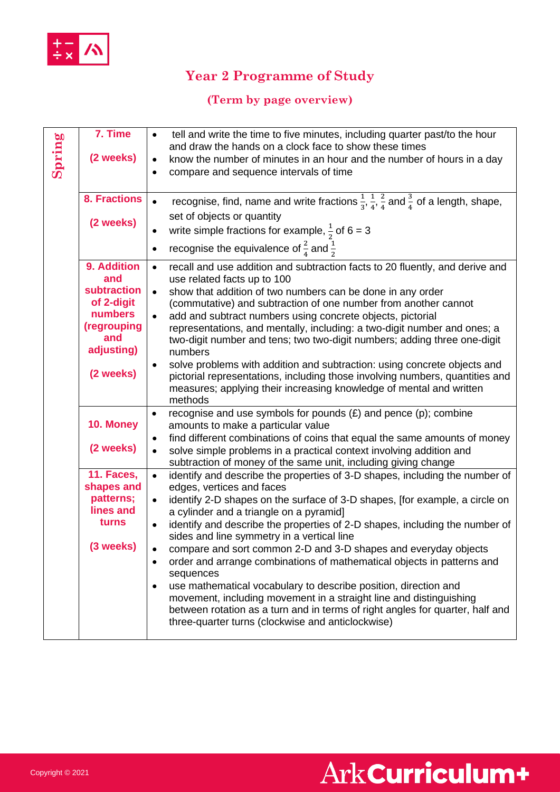

## **Year 2 Programme of Study**

### **(Term by page overview)**

| Spring | 7. Time<br>(2 weeks)              | tell and write the time to five minutes, including quarter past/to the hour<br>$\bullet$<br>and draw the hands on a clock face to show these times<br>know the number of minutes in an hour and the number of hours in a day<br>$\bullet$<br>compare and sequence intervals of time<br>$\bullet$ |
|--------|-----------------------------------|--------------------------------------------------------------------------------------------------------------------------------------------------------------------------------------------------------------------------------------------------------------------------------------------------|
|        | <b>8. Fractions</b><br>(2 weeks)  | recognise, find, name and write fractions $\frac{1}{3}$ , $\frac{1}{4}$ , $\frac{2}{4}$ and $\frac{3}{4}$ of a length, shape,<br>$\bullet$<br>set of objects or quantity<br>write simple fractions for example, $\frac{1}{2}$ of 6 = 3<br>٠                                                      |
|        |                                   | recognise the equivalence of $\frac{2}{4}$ and $\frac{1}{2}$<br>$\bullet$                                                                                                                                                                                                                        |
|        | 9. Addition<br>and<br>subtraction | recall and use addition and subtraction facts to 20 fluently, and derive and<br>$\bullet$<br>use related facts up to 100<br>show that addition of two numbers can be done in any order<br>$\bullet$                                                                                              |
|        | of 2-digit<br>numbers             | (commutative) and subtraction of one number from another cannot<br>add and subtract numbers using concrete objects, pictorial<br>$\bullet$                                                                                                                                                       |
|        | (regrouping<br>and<br>adjusting)  | representations, and mentally, including: a two-digit number and ones; a<br>two-digit number and tens; two two-digit numbers; adding three one-digit<br>numbers                                                                                                                                  |
|        | (2 weeks)                         | solve problems with addition and subtraction: using concrete objects and<br>$\bullet$<br>pictorial representations, including those involving numbers, quantities and<br>measures; applying their increasing knowledge of mental and written<br>methods                                          |
|        | 10. Money                         | recognise and use symbols for pounds $(E)$ and pence $(p)$ ; combine<br>$\bullet$<br>amounts to make a particular value<br>find different combinations of coins that equal the same amounts of money<br>$\bullet$                                                                                |
|        | (2 weeks)                         | solve simple problems in a practical context involving addition and<br>$\bullet$<br>subtraction of money of the same unit, including giving change                                                                                                                                               |
|        | 11. Faces,<br>shapes and          | identify and describe the properties of 3-D shapes, including the number of<br>$\bullet$<br>edges, vertices and faces                                                                                                                                                                            |
|        | patterns;<br>lines and            | identify 2-D shapes on the surface of 3-D shapes, [for example, a circle on<br>$\bullet$<br>a cylinder and a triangle on a pyramid]                                                                                                                                                              |
|        | turns                             | identify and describe the properties of 2-D shapes, including the number of<br>$\bullet$<br>sides and line symmetry in a vertical line                                                                                                                                                           |
|        | (3 weeks)                         | compare and sort common 2-D and 3-D shapes and everyday objects<br>$\bullet$<br>order and arrange combinations of mathematical objects in patterns and<br>$\bullet$<br>sequences                                                                                                                 |
|        |                                   | use mathematical vocabulary to describe position, direction and<br>٠<br>movement, including movement in a straight line and distinguishing<br>between rotation as a turn and in terms of right angles for quarter, half and<br>three-quarter turns (clockwise and anticlockwise)                 |